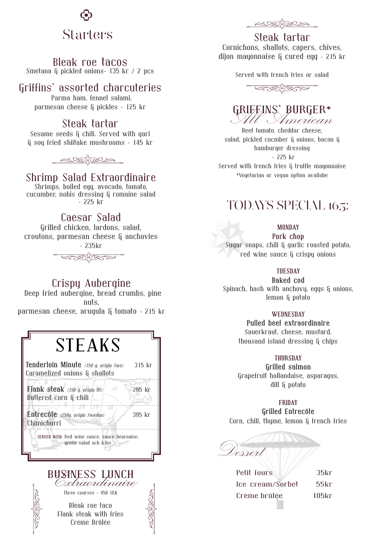

### Bleak roe tacos

Smetana & pickled onions– 135 kr / 2 pcs

## Griffins' assorted charcuteries

 Parma ham, fennel salami, parmesan cheese & pickles – 125 kr

## Steak tartar

Sesame seeds & chili. Served with gari & soy fried shiitake mushrooms – 145 kr



## Shrimp Salad Extraordinaire

Shrimps, boiled egg, avocado, tomato, cucumber, nobis dressing & romaine salad – 225 kr

## Caesar Salad

Grilled chicken, lardons, salad, croutons, parmesan cheese & anchovies – 235kr



Crispy Aubergine Deep fried aubergine, bread crumbs, pine nuts, parmesan cheese, arugula & tomato – 215 kr

# **STEAKS Tenderloin Minute** *(150 g. origin Swe)* 315 kr Caramelized onions & shallots**Flank steak** *(150 g. origin US)* 265 kr Buttered corn & chili LÒ **Entrecôte** *(250g. origin Sweden)* 395 kr Chimichurri**SERVED WITH:** Red wine sauce, sauce béarnaise, green salad och fries



Three courses - 450 SEK

Bleak roe taco Flank steak with fries Crème Brûlée



## Steak tartar

Cornichons, shallots, capers, chives, dijon mayonnaise & cured egg – 215 kr

Served with french fries or salad



# GRIFFINS' BURGER\*<br>All American

Beef tomato, cheddar cheese, salad, pickled cucmber & onions, bacon & hamburger dressing - 225 kr Served with french fries & truffle mayonnaise \*Vegetarian or vegan option availabe

## TODAYS SPECIAL 165:-

#### **MONDAY**

**Pork chop** Sugar snaps, chili & garlic roasted potato, red wine sauce & crispy onions

#### **TUESDAY**

**Baked cod** Spinach, hash with anchovy, eggs & onions, lemon & potato

#### **WEDNESDAY**

**Pulled beef extraordinaire** Sauerkraut, cheese, mustard, thousand island dressing & chips

#### **THURSDAY**

**Grilled salmon** Grapefruit hollandaise, asparagus, dill & potato

#### **FRIDAY**

**Grilled Entrecôte** Corn, chili, thyme, lemon & french fries

Dessert

Petit fours 75kr Ice cream/Sorbet 55kr Crème brûlée 105kr